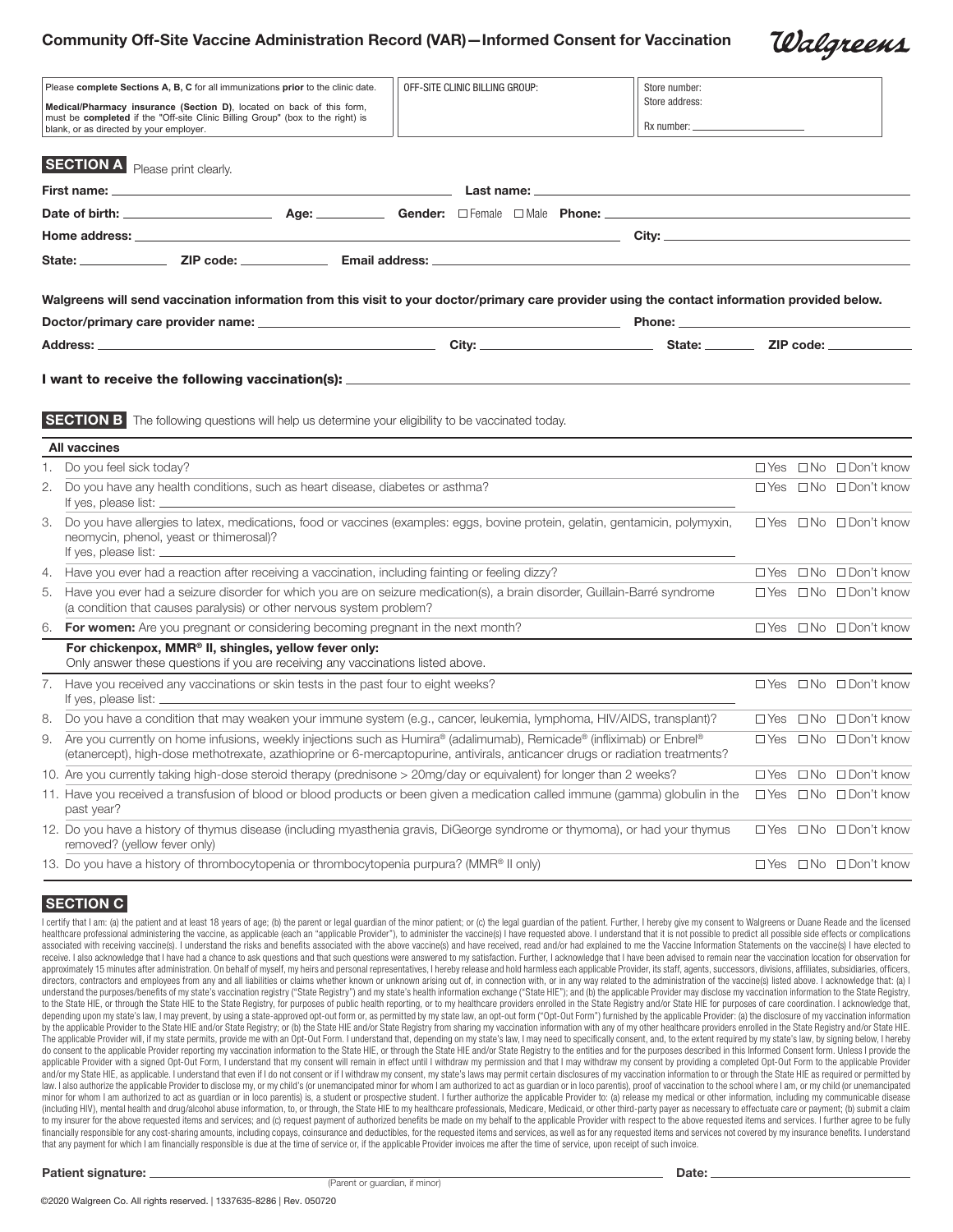# Community Off-Site Vaccine Administration Record (VAR)—Informed Consent for Vaccination

| Please complete Sections A, B, C for all immunizations prior to the clinic date.<br>Medical/Pharmacy insurance (Section D), located on back of this form,<br>must be completed if the "Off-site Clinic Billing Group" (box to the right) is<br>blank, or as directed by your employer. |                                                                                                                                                                                                                                                            |  | OFF-SITE CLINIC BILLING GROUP:<br>Store number:<br>Store address:<br>Rx number: |                      |  |  |        |            |                                        |
|----------------------------------------------------------------------------------------------------------------------------------------------------------------------------------------------------------------------------------------------------------------------------------------|------------------------------------------------------------------------------------------------------------------------------------------------------------------------------------------------------------------------------------------------------------|--|---------------------------------------------------------------------------------|----------------------|--|--|--------|------------|----------------------------------------|
|                                                                                                                                                                                                                                                                                        | <b>SECTION A</b> Please print clearly.                                                                                                                                                                                                                     |  |                                                                                 |                      |  |  |        |            |                                        |
|                                                                                                                                                                                                                                                                                        | First name: __                                                                                                                                                                                                                                             |  |                                                                                 | Last name: <u>__</u> |  |  |        |            |                                        |
|                                                                                                                                                                                                                                                                                        |                                                                                                                                                                                                                                                            |  |                                                                                 |                      |  |  |        |            |                                        |
|                                                                                                                                                                                                                                                                                        | <b>Home address:</b> Annual Marco Communication of the control of the control of the control of the control of the control of the control of the control of the control of the control of the control of the control of the control                        |  |                                                                                 |                      |  |  |        |            |                                        |
|                                                                                                                                                                                                                                                                                        |                                                                                                                                                                                                                                                            |  |                                                                                 |                      |  |  |        |            |                                        |
|                                                                                                                                                                                                                                                                                        | Walgreens will send vaccination information from this visit to your doctor/primary care provider using the contact information provided below.                                                                                                             |  |                                                                                 |                      |  |  |        |            |                                        |
|                                                                                                                                                                                                                                                                                        |                                                                                                                                                                                                                                                            |  |                                                                                 |                      |  |  | Phone: |            |                                        |
|                                                                                                                                                                                                                                                                                        | Address: <b>Address</b>                                                                                                                                                                                                                                    |  |                                                                                 |                      |  |  |        |            |                                        |
|                                                                                                                                                                                                                                                                                        | <b>SECTION B</b> The following questions will help us determine your eligibility to be vaccinated today.<br><b>All vaccines</b>                                                                                                                            |  |                                                                                 |                      |  |  |        |            |                                        |
| 1.                                                                                                                                                                                                                                                                                     | Do you feel sick today?                                                                                                                                                                                                                                    |  |                                                                                 |                      |  |  |        |            | $\Box$ Yes $\Box$ No $\Box$ Don't know |
|                                                                                                                                                                                                                                                                                        | 2. Do you have any health conditions, such as heart disease, diabetes or asthma?<br>If yes, please list: _________                                                                                                                                         |  |                                                                                 |                      |  |  |        |            | □ Yes □ No □ Don't know                |
|                                                                                                                                                                                                                                                                                        | 3. Do you have allergies to latex, medications, food or vaccines (examples: eggs, bovine protein, gelatin, gentamicin, polymyxin,<br>neomycin, phenol, yeast or thimerosal)?<br>If yes, please list: ___                                                   |  |                                                                                 |                      |  |  |        |            | $\Box$ Yes $\Box$ No $\Box$ Don't know |
|                                                                                                                                                                                                                                                                                        | 4. Have you ever had a reaction after receiving a vaccination, including fainting or feeling dizzy?                                                                                                                                                        |  |                                                                                 |                      |  |  |        | $\Box$ Yes | □No □Don't know                        |
|                                                                                                                                                                                                                                                                                        | 5. Have you ever had a seizure disorder for which you are on seizure medication(s), a brain disorder, Guillain-Barré syndrome<br>(a condition that causes paralysis) or other nervous system problem?                                                      |  |                                                                                 |                      |  |  |        |            | $\Box$ Yes $\Box$ No $\Box$ Don't know |
|                                                                                                                                                                                                                                                                                        | 6. For women: Are you pregnant or considering becoming pregnant in the next month?                                                                                                                                                                         |  |                                                                                 |                      |  |  |        |            | $\Box$ Yes $\Box$ No $\Box$ Don't know |
|                                                                                                                                                                                                                                                                                        | For chickenpox, MMR <sup>®</sup> II, shingles, yellow fever only:<br>Only answer these questions if you are receiving any vaccinations listed above.                                                                                                       |  |                                                                                 |                      |  |  |        |            |                                        |
|                                                                                                                                                                                                                                                                                        | 7. Have you received any vaccinations or skin tests in the past four to eight weeks?                                                                                                                                                                       |  |                                                                                 |                      |  |  |        |            | □ Yes □ No □ Don't know                |
|                                                                                                                                                                                                                                                                                        | 8. Do you have a condition that may weaken your immune system (e.g., cancer, leukemia, lymphoma, HIV/AIDS, transplant)?                                                                                                                                    |  |                                                                                 |                      |  |  |        | $\Box$ Yes | $\Box$ No $\Box$ Don't know            |
|                                                                                                                                                                                                                                                                                        | 9. Are you currently on home infusions, weekly injections such as Humira® (adalimumab), Remicade® (infliximab) or Enbrel®<br>(etanercept), high-dose methotrexate, azathioprine or 6-mercaptopurine, antivirals, anticancer drugs or radiation treatments? |  |                                                                                 |                      |  |  |        | □ Yes      | □No □Don't know                        |
|                                                                                                                                                                                                                                                                                        | 10. Are you currently taking high-dose steroid therapy (prednisone > 20mg/day or equivalent) for longer than 2 weeks?                                                                                                                                      |  |                                                                                 |                      |  |  |        | $\Box$ Yes | $\Box$ No $\Box$ Don't know            |
|                                                                                                                                                                                                                                                                                        | 11. Have you received a transfusion of blood or blood products or been given a medication called immune (gamma) globulin in the<br>past year?                                                                                                              |  |                                                                                 |                      |  |  |        | $\Box$ Yes | $\Box$ No $\Box$ Don't know            |
|                                                                                                                                                                                                                                                                                        | 12. Do you have a history of thymus disease (including myasthenia gravis, DiGeorge syndrome or thymoma), or had your thymus<br>removed? (yellow fever only)                                                                                                |  |                                                                                 |                      |  |  |        |            | □ Yes □ No □ Don't know                |
|                                                                                                                                                                                                                                                                                        | 13. Do you have a history of thrombocytopenia or thrombocytopenia purpura? (MMR® II only)                                                                                                                                                                  |  |                                                                                 |                      |  |  |        |            | $\Box$ Yes $\Box$ No $\Box$ Don't know |

## SECTION C

I certify that I am: (a) the patient and at least 18 years of age; (b) the parent or legal guardian of the minor patient; or (c) the legal guardian of the patient. Further, I hereby give my consent to Walgreens or Duane Re healthcare professional administering the vaccine, as applicable (each an "applicable Provider"), to administer the vaccine(s) I have requested above. I understand that it is not possible to predict all possible side effec associated with receiving vaccine(s). I understand the risks and benefits associated with the above vaccine(s) and have received, read and/or had explained to me the Vaccine Information Statements on the vaccine(s) I have receive. I also acknowledge that I have had a chance to ask questions and that such questions were answered to my satisfaction. Further, I acknowledge that I have been advised to remain near the vaccination location for ob approximately 15 minutes after administration. On behalf of myself, my heirs and personal representatives, I hereby release and hold harmless each applicable Provider, its staff, agents, successors, divisions, affiliates, directors, contractors and employees from any and all liabilities or claims whether known or unknown arising out of, in connection with, or in any way related to the administration of the vaccine(s) listed above. I acknowl understand the purposes/benefits of my state's vaccination registry ("State Registry") and my state's health information exchange ("State HE"); and (b) the applicable Provider may disclose my vaccination information to the to the State HIE, or through the State HIE to the State Registry, for purposes of public health reporting, or to my healthcare providers enrolled in the State Registry and/or State HIE for purposes of care coordination. I depending upon my state's law, I may prevent, by using a state-approved opt-out form or, as permitted by my state law, an opt-out form ("Opt-Out Form") furnished by the applicable Provider: (a) the disclosure of my vaccina by the applicable Provider to the State HIE and/or State Registry: or (b) the State HIE and/or State Registry from sharing my vaccination information with any of my other healthcare providers enrolled in the State Registry The applicable Provider will, if my state permits, provide me with an Opt-Out Form. I understand that, depending on my state's law, I may need to specifically consent, and, to the extent required by my state's law, by sign do consent to the applicable Provider reporting my vaccination information to the State HIE, or through the State HIE and/or State Registry to the entities and for the purposes described in this Informed Consent form. Unle applicable Provider with a signed Opt-Out Form, I understand that my consent will remain in effect until I withdraw my permission and that I may withdraw my consent by providing a completed Opt-Out Form to the applicable P and/or my State HIE, as applicable. I understand that even if I do not consent or if I withdraw my consent, my state's laws may permit certain disclosures of my vaccination information to or through the State HIE as requir law. I also authorize the applicable Provider to disclose my, or my child's (or unemancipated minor for whom I am authorized to act as guardian or in loco parentis), proof of vaccination to the school where I am, or my chi minor for whom I am authorized to act as guardian or in loco parentis) is, a student or prospective student. I further authorize the applicable Provider to: (a) release my medical or other information, including my communi (including HIV), mental health and drug/alcohol abuse information, to, or through, the State HIE to my healthcare professionals, Medicare, Medicaid, or other third-party payer as necessary to effectuate care or payment; (b to my insurer for the above requested items and services; and (c) request payment of authorized benefits be made on my behalf to the applicable Provider with respect to the above requested items and services. I further agr financially responsible for any cost-sharing amounts, including copays, coinsurance and deductibles, for the requested items and services, as well as for any requested items and services not covered by my insurance benefit that any payment for which I am financially responsible is due at the time of service or, if the applicable Provider invoices me after the time of service, upon receipt of such invoice.

Walgreens